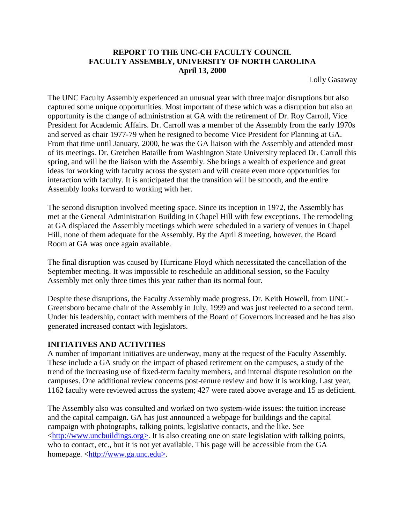## **REPORT TO THE UNC-CH FACULTY COUNCIL FACULTY ASSEMBLY, UNIVERSITY OF NORTH CAROLINA April 13, 2000**

Lolly Gasaway

The UNC Faculty Assembly experienced an unusual year with three major disruptions but also captured some unique opportunities. Most important of these which was a disruption but also an opportunity is the change of administration at GA with the retirement of Dr. Roy Carroll, Vice President for Academic Affairs. Dr. Carroll was a member of the Assembly from the early 1970s and served as chair 1977-79 when he resigned to become Vice President for Planning at GA. From that time until January, 2000, he was the GA liaison with the Assembly and attended most of its meetings. Dr. Gretchen Bataille from Washington State University replaced Dr. Carroll this spring, and will be the liaison with the Assembly. She brings a wealth of experience and great ideas for working with faculty across the system and will create even more opportunities for interaction with faculty. It is anticipated that the transition will be smooth, and the entire Assembly looks forward to working with her.

The second disruption involved meeting space. Since its inception in 1972, the Assembly has met at the General Administration Building in Chapel Hill with few exceptions. The remodeling at GA displaced the Assembly meetings which were scheduled in a variety of venues in Chapel Hill, none of them adequate for the Assembly. By the April 8 meeting, however, the Board Room at GA was once again available.

The final disruption was caused by Hurricane Floyd which necessitated the cancellation of the September meeting. It was impossible to reschedule an additional session, so the Faculty Assembly met only three times this year rather than its normal four.

Despite these disruptions, the Faculty Assembly made progress. Dr. Keith Howell, from UNC-Greensboro became chair of the Assembly in July, 1999 and was just reelected to a second term. Under his leadership, contact with members of the Board of Governors increased and he has also generated increased contact with legislators.

#### **INITIATIVES AND ACTIVITIES**

A number of important initiatives are underway, many at the request of the Faculty Assembly. These include a GA study on the impact of phased retirement on the campuses, a study of the trend of the increasing use of fixed-term faculty members, and internal dispute resolution on the campuses. One additional review concerns post-tenure review and how it is working. Last year, 1162 faculty were reviewed across the system; 427 were rated above average and 15 as deficient.

The Assembly also was consulted and worked on two system-wide issues: the tuition increase and the capital campaign. GA has just announced a webpage for buildings and the capital campaign with photographs, talking points, legislative contacts, and the like. See <http://www.uncbuildings.org>. It is also creating one on state legislation with talking points, who to contact, etc., but it is not yet available. This page will be accessible from the GA homepage. <http://www.ga.unc.edu>.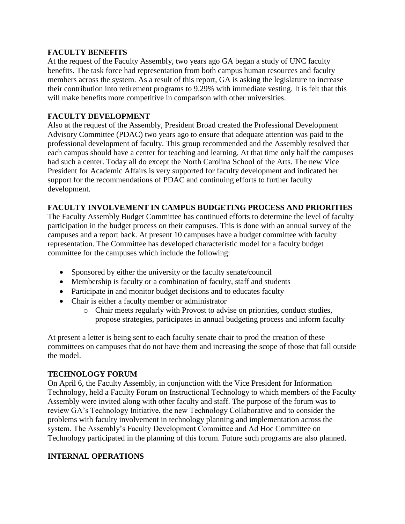## **FACULTY BENEFITS**

At the request of the Faculty Assembly, two years ago GA began a study of UNC faculty benefits. The task force had representation from both campus human resources and faculty members across the system. As a result of this report, GA is asking the legislature to increase their contribution into retirement programs to 9.29% with immediate vesting. It is felt that this will make benefits more competitive in comparison with other universities.

# **FACULTY DEVELOPMENT**

Also at the request of the Assembly, President Broad created the Professional Development Advisory Committee (PDAC) two years ago to ensure that adequate attention was paid to the professional development of faculty. This group recommended and the Assembly resolved that each campus should have a center for teaching and learning. At that time only half the campuses had such a center. Today all do except the North Carolina School of the Arts. The new Vice President for Academic Affairs is very supported for faculty development and indicated her support for the recommendations of PDAC and continuing efforts to further faculty development.

## **FACULTY INVOLVEMENT IN CAMPUS BUDGETING PROCESS AND PRIORITIES**

The Faculty Assembly Budget Committee has continued efforts to determine the level of faculty participation in the budget process on their campuses. This is done with an annual survey of the campuses and a report back. At present 10 campuses have a budget committee with faculty representation. The Committee has developed characteristic model for a faculty budget committee for the campuses which include the following:

- Sponsored by either the university or the faculty senate/council
- Membership is faculty or a combination of faculty, staff and students
- Participate in and monitor budget decisions and to educates faculty
- Chair is either a faculty member or administrator
	- o Chair meets regularly with Provost to advise on priorities, conduct studies, propose strategies, participates in annual budgeting process and inform faculty

At present a letter is being sent to each faculty senate chair to prod the creation of these committees on campuses that do not have them and increasing the scope of those that fall outside the model.

#### **TECHNOLOGY FORUM**

On April 6, the Faculty Assembly, in conjunction with the Vice President for Information Technology, held a Faculty Forum on Instructional Technology to which members of the Faculty Assembly were invited along with other faculty and staff. The purpose of the forum was to review GA's Technology Initiative, the new Technology Collaborative and to consider the problems with faculty involvement in technology planning and implementation across the system. The Assembly's Faculty Development Committee and Ad Hoc Committee on Technology participated in the planning of this forum. Future such programs are also planned.

# **INTERNAL OPERATIONS**